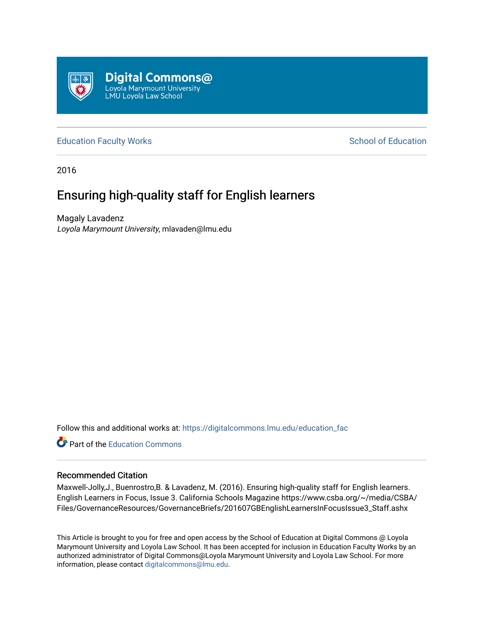

#### [Education Faculty Works](https://digitalcommons.lmu.edu/education_fac) **Education** School of Education

2016

# Ensuring high-quality staff for English learners

Magaly Lavadenz Loyola Marymount University, mlavaden@lmu.edu

Follow this and additional works at: [https://digitalcommons.lmu.edu/education\\_fac](https://digitalcommons.lmu.edu/education_fac?utm_source=digitalcommons.lmu.edu%2Feducation_fac%2F58&utm_medium=PDF&utm_campaign=PDFCoverPages) 

**C** Part of the [Education Commons](http://network.bepress.com/hgg/discipline/784?utm_source=digitalcommons.lmu.edu%2Feducation_fac%2F58&utm_medium=PDF&utm_campaign=PDFCoverPages)

#### Recommended Citation

Maxwell-Jolly,J., Buenrostro,B. & Lavadenz, M. (2016). Ensuring high-quality staff for English learners. English Learners in Focus, Issue 3. California Schools Magazine https://www.csba.org/~/media/CSBA/ Files/GovernanceResources/GovernanceBriefs/201607GBEnglishLearnersInFocusIssue3\_Staff.ashx

This Article is brought to you for free and open access by the School of Education at Digital Commons @ Loyola Marymount University and Loyola Law School. It has been accepted for inclusion in Education Faculty Works by an authorized administrator of Digital Commons@Loyola Marymount University and Loyola Law School. For more information, please contact [digitalcommons@lmu.edu.](mailto:digitalcommons@lmu.edu)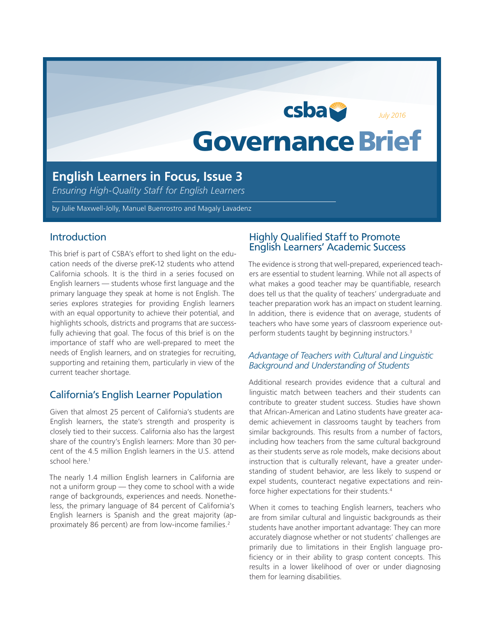# **csba** *July 2016*Governance Brief

# **English Learners in Focus, Issue 3**

*Ensuring High-Quality Staff for English Learners*

by Julie Maxwell-Jolly, Manuel Buenrostro and Magaly Lavadenz

#### **Introduction**

This brief is part of CSBA's effort to shed light on the education needs of the diverse preK-12 students who attend California schools. It is the third in a series focused on English learners — students whose first language and the primary language they speak at home is not English. The series explores strategies for providing English learners with an equal opportunity to achieve their potential, and highlights schools, districts and programs that are successfully achieving that goal. The focus of this brief is on the importance of staff who are well-prepared to meet the needs of English learners, and on strategies for recruiting, supporting and retaining them, particularly in view of the current teacher shortage.

## California's English Learner Population

Given that almost 25 percent of California's students are English learners, the state's strength and prosperity is closely tied to their success. California also has the largest share of the country's English learners: More than 30 percent of the 4.5 million English learners in the U.S. attend school here.<sup>1</sup>

The nearly 1.4 million English learners in California are not a uniform group — they come to school with a wide range of backgrounds, experiences and needs. Nonetheless, the primary language of 84 percent of California's English learners is Spanish and the great majority (approximately 86 percent) are from low-income families.<sup>2</sup>

## Highly Qualified Staff to Promote English Learners' Academic Success

The evidence is strong that well-prepared, experienced teachers are essential to student learning. While not all aspects of what makes a good teacher may be quantifiable, research does tell us that the quality of teachers' undergraduate and teacher preparation work has an impact on student learning. In addition, there is evidence that on average, students of teachers who have some years of classroom experience outperform students taught by beginning instructors.3

#### *Advantage of Teachers with Cultural and Linguistic Background and Understanding of Students*

Additional research provides evidence that a cultural and linguistic match between teachers and their students can contribute to greater student success. Studies have shown that African-American and Latino students have greater academic achievement in classrooms taught by teachers from similar backgrounds. This results from a number of factors, including how teachers from the same cultural background as their students serve as role models, make decisions about instruction that is culturally relevant, have a greater understanding of student behavior, are less likely to suspend or expel students, counteract negative expectations and reinforce higher expectations for their students.4

When it comes to teaching English learners, teachers who are from similar cultural and linguistic backgrounds as their students have another important advantage: They can more accurately diagnose whether or not students' challenges are primarily due to limitations in their English language proficiency or in their ability to grasp content concepts. This results in a lower likelihood of over or under diagnosing them for learning disabilities.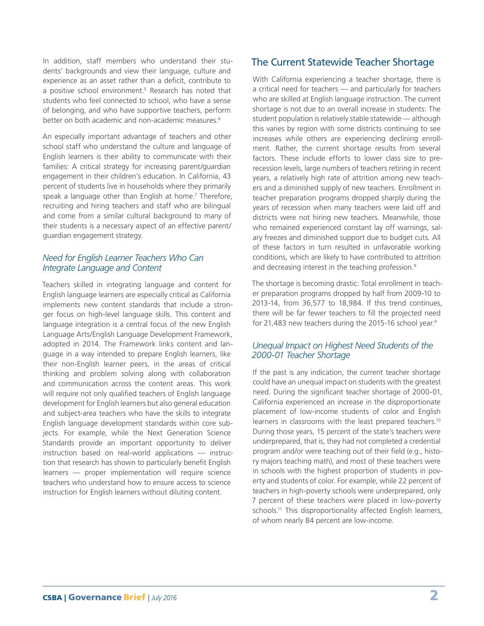In addition, staff members who understand their students' backgrounds and view their language, culture and experience as an asset rather than a deficit, contribute to a positive school environment.<sup>5</sup> Research has noted that students who feel connected to school, who have a sense of belonging, and who have supportive teachers, perform better on both academic and non-academic measures.<sup>6</sup>

An especially important advantage of teachers and other school staff who understand the culture and language of English learners is their ability to communicate with their families: A critical strategy for increasing parent/guardian engagement in their children's education. In California, 43 percent of students live in households where they primarily speak a language other than English at home.7 Therefore, recruiting and hiring teachers and staff who are bilingual and come from a similar cultural background to many of their students is a necessary aspect of an effective parent/ guardian engagement strategy.

#### *Need for English Learner Teachers Who Can Integrate Language and Content*

Teachers skilled in integrating language and content for English language learners are especially critical as California implements new content standards that include a stronger focus on high-level language skills. This content and language integration is a central focus of the new English Language Arts/English Language Development Framework, adopted in 2014. The Framework links content and language in a way intended to prepare English learners, like their non-English learner peers, in the areas of critical thinking and problem solving along with collaboration and communication across the content areas. This work will require not only qualified teachers of English language development for English learners but also general education and subject-area teachers who have the skills to integrate English language development standards within core subjects. For example, while the Next Generation Science Standards provide an important opportunity to deliver instruction based on real-world applications — instruction that research has shown to particularly benefit English learners — proper implementation will require science teachers who understand how to ensure access to science instruction for English learners without diluting content.

# The Current Statewide Teacher Shortage

With California experiencing a teacher shortage, there is a critical need for teachers — and particularly for teachers who are skilled at English language instruction. The current shortage is not due to an overall increase in students: The student population is relatively stable statewide — although this varies by region with some districts continuing to see increases while others are experiencing declining enrollment. Rather, the current shortage results from several factors. These include efforts to lower class size to prerecession levels, large numbers of teachers retiring in recent years, a relatively high rate of attrition among new teachers and a diminished supply of new teachers. Enrollment in teacher preparation programs dropped sharply during the years of recession when many teachers were laid off and districts were not hiring new teachers. Meanwhile, those who remained experienced constant lay off warnings, salary freezes and diminished support due to budget cuts. All of these factors in turn resulted in unfavorable working conditions, which are likely to have contributed to attrition and decreasing interest in the teaching profession.<sup>8</sup>

The shortage is becoming drastic: Total enrollment in teacher preparation programs dropped by half from 2009-10 to 2013-14, from 36,577 to 18,984. If this trend continues, there will be far fewer teachers to fill the projected need for 21,483 new teachers during the 2015-16 school year.<sup>9</sup>

## *Unequal Impact on Highest Need Students of the 2000-01 Teacher Shortage*

If the past is any indication, the current teacher shortage could have an unequal impact on students with the greatest need. During the significant teacher shortage of 2000-01, California experienced an increase in the disproportionate placement of low-income students of color and English learners in classrooms with the least prepared teachers.<sup>10</sup> During those years, 15 percent of the state's teachers were underprepared, that is, they had not completed a credential program and/or were teaching out of their field (e.g., history majors teaching math), and most of these teachers were in schools with the highest proportion of students in poverty and students of color. For example, while 22 percent of teachers in high-poverty schools were underprepared, only 7 percent of these teachers were placed in low-poverty schools.<sup>11</sup> This disproportionality affected English learners, of whom nearly 84 percent are low-income.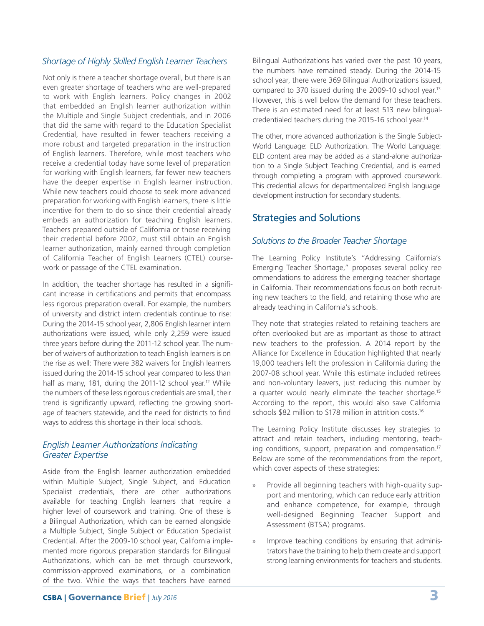## *Shortage of Highly Skilled English Learner Teachers*

Not only is there a teacher shortage overall, but there is an even greater shortage of teachers who are well-prepared to work with English learners. Policy changes in 2002 that embedded an English learner authorization within the Multiple and Single Subject credentials, and in 2006 that did the same with regard to the Education Specialist Credential, have resulted in fewer teachers receiving a more robust and targeted preparation in the instruction of English learners. Therefore, while most teachers who receive a credential today have some level of preparation for working with English learners, far fewer new teachers have the deeper expertise in English learner instruction. While new teachers could choose to seek more advanced preparation for working with English learners, there is little incentive for them to do so since their credential already embeds an authorization for teaching English learners. Teachers prepared outside of California or those receiving their credential before 2002, must still obtain an English learner authorization, mainly earned through completion of California Teacher of English Learners (CTEL) coursework or passage of the CTEL examination.

In addition, the teacher shortage has resulted in a significant increase in certifications and permits that encompass less rigorous preparation overall. For example, the numbers of university and district intern credentials continue to rise: During the 2014-15 school year, 2,806 English learner intern authorizations were issued, while only 2,259 were issued three years before during the 2011-12 school year. The number of waivers of authorization to teach English learners is on the rise as well: There were 382 waivers for English learners issued during the 2014-15 school year compared to less than half as many, 181, during the 2011-12 school year.<sup>12</sup> While the numbers of these less rigorous credentials are small, their trend is significantly upward, reflecting the growing shortage of teachers statewide, and the need for districts to find ways to address this shortage in their local schools.

#### *English Learner Authorizations Indicating Greater Expertise*

Aside from the English learner authorization embedded within Multiple Subject, Single Subject, and Education Specialist credentials, there are other authorizations available for teaching English learners that require a higher level of coursework and training. One of these is a Bilingual Authorization, which can be earned alongside a Multiple Subject, Single Subject or Education Specialist Credential. After the 2009-10 school year, California implemented more rigorous preparation standards for Bilingual Authorizations, which can be met through coursework, commission-approved examinations, or a combination of the two. While the ways that teachers have earned

Bilingual Authorizations has varied over the past 10 years, the numbers have remained steady. During the 2014-15 school year, there were 369 Bilingual Authorizations issued, compared to 370 issued during the 2009-10 school year.13 However, this is well below the demand for these teachers. There is an estimated need for at least 513 new bilingualcredentialed teachers during the 2015-16 school year.14

The other, more advanced authorization is the Single Subject-World Language: ELD Authorization. The World Language: ELD content area may be added as a stand-alone authorization to a Single Subject Teaching Credential, and is earned through completing a program with approved coursework. This credential allows for departmentalized English language development instruction for secondary students.

# Strategies and Solutions

#### *Solutions to the Broader Teacher Shortage*

The Learning Policy Institute's "Addressing California's Emerging Teacher Shortage," proposes several policy recommendations to address the emerging teacher shortage in California. Their recommendations focus on both recruiting new teachers to the field, and retaining those who are already teaching in California's schools.

They note that strategies related to retaining teachers are often overlooked but are as important as those to attract new teachers to the profession. A 2014 report by the Alliance for Excellence in Education highlighted that nearly 19,000 teachers left the profession in California during the 2007-08 school year. While this estimate included retirees and non-voluntary leavers, just reducing this number by a quarter would nearly eliminate the teacher shortage.<sup>15</sup> According to the report, this would also save California schools \$82 million to \$178 million in attrition costs.<sup>16</sup>

The Learning Policy Institute discusses key strategies to attract and retain teachers, including mentoring, teaching conditions, support, preparation and compensation.17 Below are some of the recommendations from the report, which cover aspects of these strategies:

- » Provide all beginning teachers with high-quality support and mentoring, which can reduce early attrition and enhance competence, for example, through well-designed Beginning Teacher Support and Assessment (BTSA) programs.
- » Improve teaching conditions by ensuring that administrators have the training to help them create and support strong learning environments for teachers and students.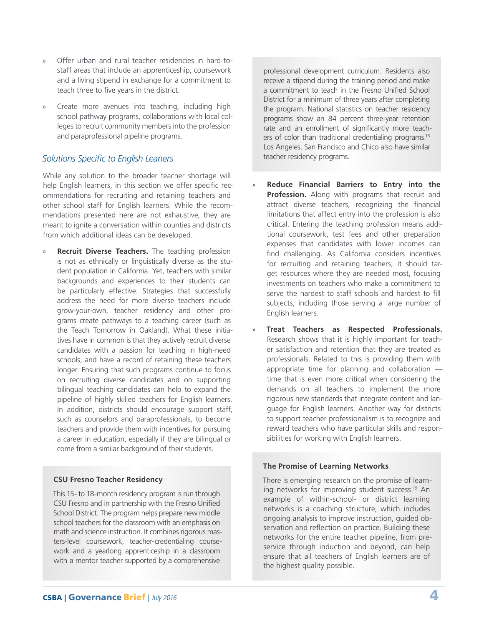- » Offer urban and rural teacher residencies in hard-tostaff areas that include an apprenticeship, coursework and a living stipend in exchange for a commitment to teach three to five years in the district.
- Create more avenues into teaching, including high school pathway programs, collaborations with local colleges to recruit community members into the profession and paraprofessional pipeline programs.

## *Solutions Specific to English Leaners*

While any solution to the broader teacher shortage will help English learners, in this section we offer specific recommendations for recruiting and retaining teachers and other school staff for English learners. While the recommendations presented here are not exhaustive, they are meant to ignite a conversation within counties and districts from which additional ideas can be developed.

**Recruit Diverse Teachers.** The teaching profession is not as ethnically or linguistically diverse as the student population in California. Yet, teachers with similar backgrounds and experiences to their students can be particularly effective. Strategies that successfully address the need for more diverse teachers include grow-your-own, teacher residency and other programs create pathways to a teaching career (such as the Teach Tomorrow in Oakland). What these initiatives have in common is that they actively recruit diverse candidates with a passion for teaching in high-need schools, and have a record of retaining these teachers longer. Ensuring that such programs continue to focus on recruiting diverse candidates and on supporting bilingual teaching candidates can help to expand the pipeline of highly skilled teachers for English learners. In addition, districts should encourage support staff, such as counselors and paraprofessionals, to become teachers and provide them with incentives for pursuing a career in education, especially if they are bilingual or come from a similar background of their students.

#### **CSU Fresno Teacher Residency**

This 15- to 18-month residency program is run through CSU Fresno and in partnership with the Fresno Unified School District. The program helps prepare new middle school teachers for the classroom with an emphasis on math and science instruction. It combines rigorous masters-level coursework, teacher-credentialing coursework and a yearlong apprenticeship in a classroom with a mentor teacher supported by a comprehensive

professional development curriculum. Residents also receive a stipend during the training period and make a commitment to teach in the Fresno Unified School District for a minimum of three years after completing the program. National statistics on teacher residency programs show an 84 percent three-year retention rate and an enrollment of significantly more teachers of color than traditional credentialing programs.<sup>18</sup> Los Angeles, San Francisco and Chico also have similar teacher residency programs.

- » **Reduce Financial Barriers to Entry into the Profession.** Along with programs that recruit and attract diverse teachers, recognizing the financial limitations that affect entry into the profession is also critical. Entering the teaching profession means additional coursework, test fees and other preparation expenses that candidates with lower incomes can find challenging. As California considers incentives for recruiting and retaining teachers, it should target resources where they are needed most, focusing investments on teachers who make a commitment to serve the hardest to staff schools and hardest to fill subjects, including those serving a large number of English learners.
- » **Treat Teachers as Respected Professionals.** Research shows that it is highly important for teacher satisfaction and retention that they are treated as professionals. Related to this is providing them with appropriate time for planning and collaboration time that is even more critical when considering the demands on all teachers to implement the more rigorous new standards that integrate content and language for English learners. Another way for districts to support teacher professionalism is to recognize and reward teachers who have particular skills and responsibilities for working with English learners.

#### **The Promise of Learning Networks**

There is emerging research on the promise of learning networks for improving student success.<sup>19</sup> An example of within-school- or district learning networks is a coaching structure, which includes ongoing analysis to improve instruction, guided observation and reflection on practice. Building these networks for the entire teacher pipeline, from preservice through induction and beyond, can help ensure that all teachers of English learners are of the highest quality possible.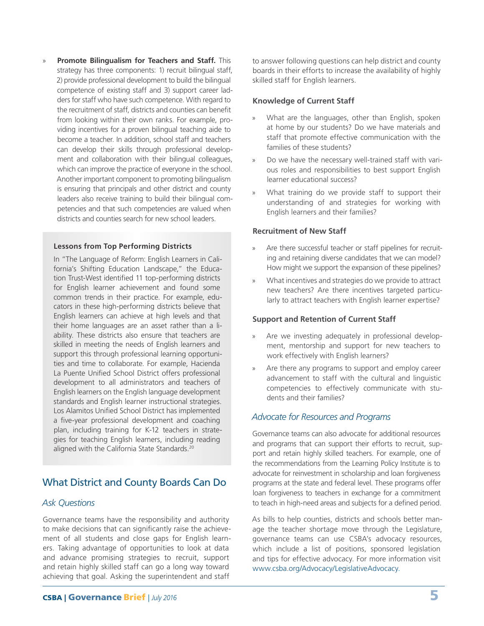» **Promote Bilingualism for Teachers and Staff.** This strategy has three components: 1) recruit bilingual staff, 2) provide professional development to build the bilingual competence of existing staff and 3) support career ladders for staff who have such competence. With regard to the recruitment of staff, districts and counties can benefit from looking within their own ranks. For example, providing incentives for a proven bilingual teaching aide to become a teacher. In addition, school staff and teachers can develop their skills through professional development and collaboration with their bilingual colleagues, which can improve the practice of everyone in the school. Another important component to promoting bilingualism is ensuring that principals and other district and county leaders also receive training to build their bilingual competencies and that such competencies are valued when districts and counties search for new school leaders.

#### **Lessons from Top Performing Districts**

In "The Language of Reform: English Learners in California's Shifting Education Landscape," the Education Trust-West identified 11 top-performing districts for English learner achievement and found some common trends in their practice. For example, educators in these high-performing districts believe that English learners can achieve at high levels and that their home languages are an asset rather than a liability. These districts also ensure that teachers are skilled in meeting the needs of English learners and support this through professional learning opportunities and time to collaborate. For example, Hacienda La Puente Unified School District offers professional development to all administrators and teachers of English learners on the English language development standards and English learner instructional strategies. Los Alamitos Unified School District has implemented a five-year professional development and coaching plan, including training for K-12 teachers in strategies for teaching English learners, including reading aligned with the California State Standards.20

# What District and County Boards Can Do

#### *Ask Questions*

Governance teams have the responsibility and authority to make decisions that can significantly raise the achievement of all students and close gaps for English learners. Taking advantage of opportunities to look at data and advance promising strategies to recruit, support and retain highly skilled staff can go a long way toward achieving that goal. Asking the superintendent and staff

to answer following questions can help district and county boards in their efforts to increase the availability of highly skilled staff for English learners.

#### **Knowledge of Current Staff**

- What are the languages, other than English, spoken at home by our students? Do we have materials and staff that promote effective communication with the families of these students?
- » Do we have the necessary well-trained staff with various roles and responsibilities to best support English learner educational success?
- What training do we provide staff to support their understanding of and strategies for working with English learners and their families?

#### **Recruitment of New Staff**

- » Are there successful teacher or staff pipelines for recruiting and retaining diverse candidates that we can model? How might we support the expansion of these pipelines?
- » What incentives and strategies do we provide to attract new teachers? Are there incentives targeted particularly to attract teachers with English learner expertise?

#### **Support and Retention of Current Staff**

- Are we investing adequately in professional development, mentorship and support for new teachers to work effectively with English learners?
- Are there any programs to support and employ career advancement to staff with the cultural and linguistic competencies to effectively communicate with students and their families?

#### *Advocate for Resources and Programs*

Governance teams can also advocate for additional resources and programs that can support their efforts to recruit, support and retain highly skilled teachers. For example, one of the recommendations from the Learning Policy Institute is to advocate for reinvestment in scholarship and loan forgiveness programs at the state and federal level. These programs offer loan forgiveness to teachers in exchange for a commitment to teach in high-need areas and subjects for a defined period.

As bills to help counties, districts and schools better manage the teacher shortage move through the Legislature, governance teams can use CSBA's advocacy resources, which include a list of positions, sponsored legislation and tips for effective advocacy. For more information visit www.csba.org/Advocacy/LegislativeAdvocacy.